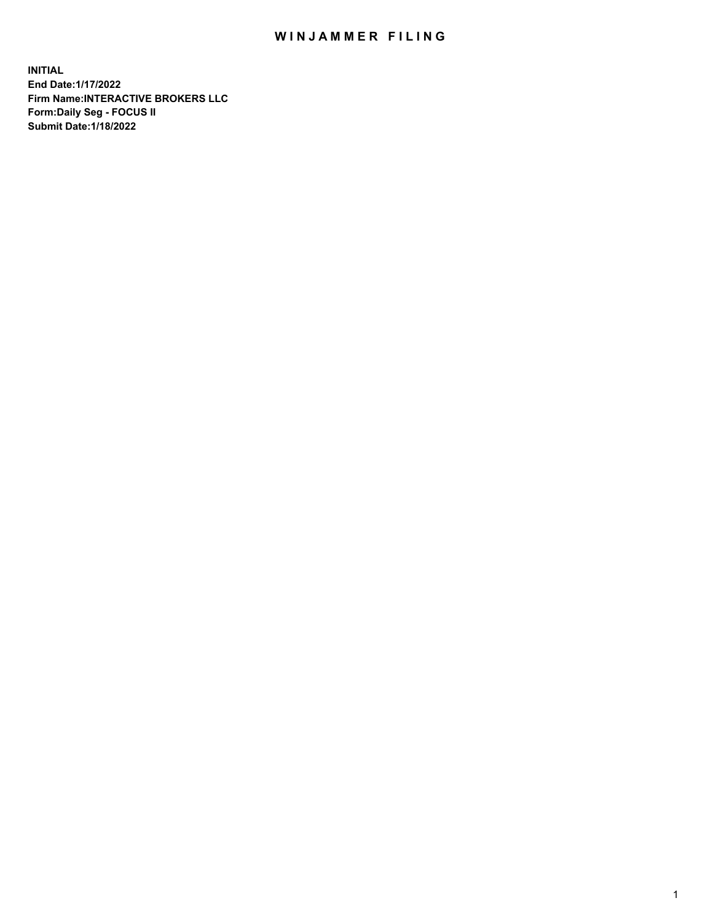## WIN JAMMER FILING

**INITIAL End Date:1/17/2022 Firm Name:INTERACTIVE BROKERS LLC Form:Daily Seg - FOCUS II Submit Date:1/18/2022**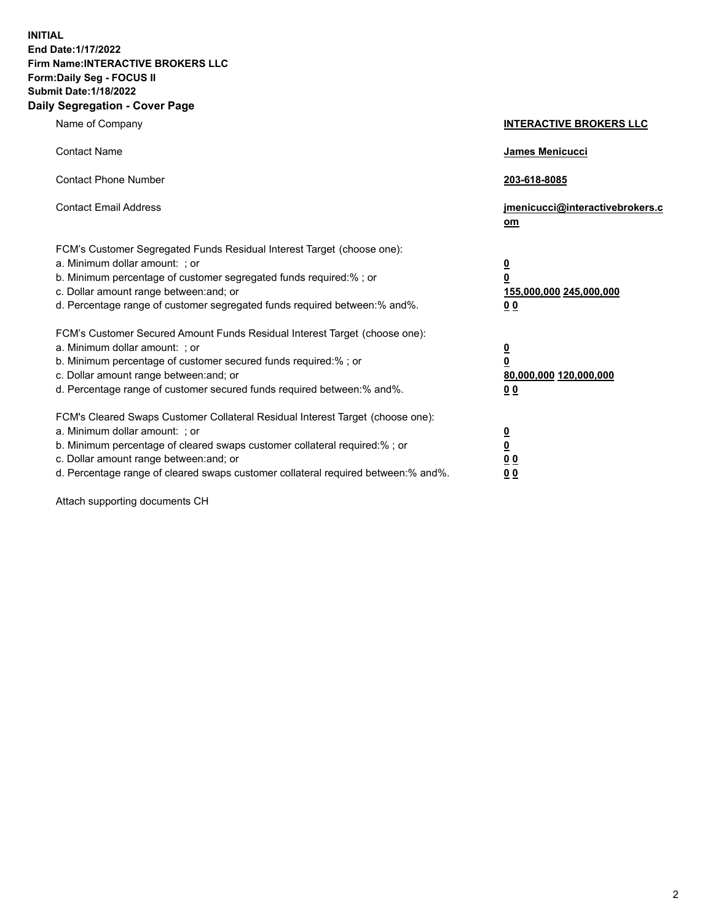**INITIAL End Date:1/17/2022 Firm Name:INTERACTIVE BROKERS LLC Form:Daily Seg - FOCUS II Submit Date:1/18/2022 Daily Segregation - Cover Page**

| Name of Company                                                                                                                                                                                                                                                                                                                | <b>INTERACTIVE BROKERS LLC</b>                                                                  |
|--------------------------------------------------------------------------------------------------------------------------------------------------------------------------------------------------------------------------------------------------------------------------------------------------------------------------------|-------------------------------------------------------------------------------------------------|
| <b>Contact Name</b>                                                                                                                                                                                                                                                                                                            | James Menicucci                                                                                 |
| <b>Contact Phone Number</b>                                                                                                                                                                                                                                                                                                    | 203-618-8085                                                                                    |
| <b>Contact Email Address</b>                                                                                                                                                                                                                                                                                                   | jmenicucci@interactivebrokers.c<br>$om$                                                         |
| FCM's Customer Segregated Funds Residual Interest Target (choose one):<br>a. Minimum dollar amount: ; or<br>b. Minimum percentage of customer segregated funds required:% ; or<br>c. Dollar amount range between: and; or<br>d. Percentage range of customer segregated funds required between:% and%.                         | $\overline{\mathbf{0}}$<br>$\overline{\mathbf{0}}$<br>155,000,000 245,000,000<br>0 <sub>0</sub> |
| FCM's Customer Secured Amount Funds Residual Interest Target (choose one):<br>a. Minimum dollar amount: ; or<br>b. Minimum percentage of customer secured funds required:% ; or<br>c. Dollar amount range between: and; or<br>d. Percentage range of customer secured funds required between:% and%.                           | $\overline{\mathbf{0}}$<br>$\overline{\mathbf{0}}$<br>80,000,000 120,000,000<br>0 <sub>0</sub>  |
| FCM's Cleared Swaps Customer Collateral Residual Interest Target (choose one):<br>a. Minimum dollar amount: ; or<br>b. Minimum percentage of cleared swaps customer collateral required:% ; or<br>c. Dollar amount range between: and; or<br>d. Percentage range of cleared swaps customer collateral required between:% and%. | $\overline{\mathbf{0}}$<br>$\overline{\mathbf{0}}$<br>0 <sub>0</sub><br>0 <sub>0</sub>          |

Attach supporting documents CH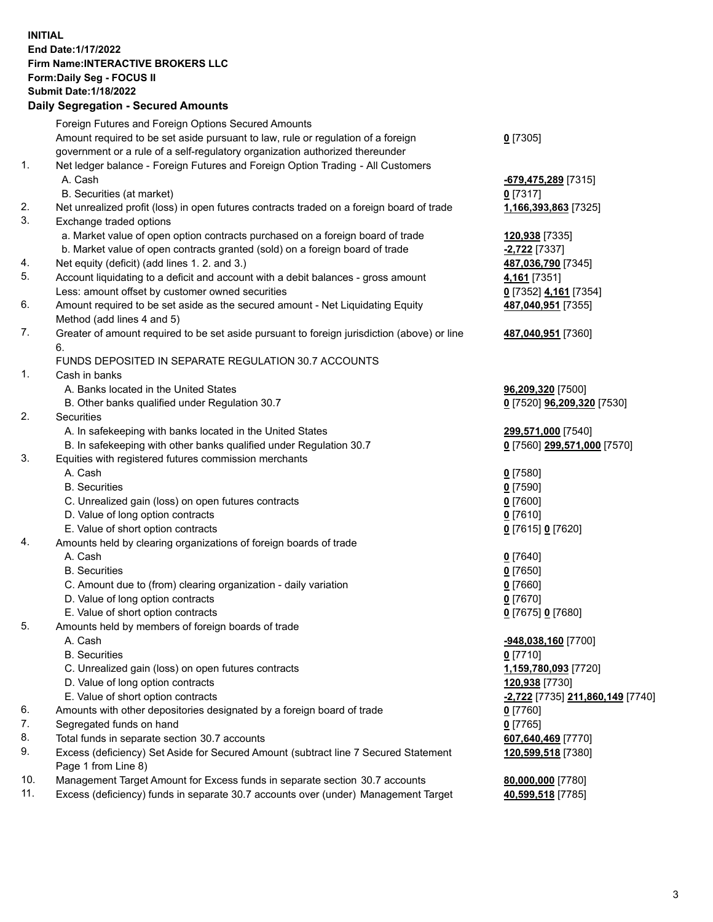**INITIAL End Date:1/17/2022 Firm Name:INTERACTIVE BROKERS LLC Form:Daily Seg - FOCUS II Submit Date:1/18/2022 Daily Segregation - Secured Amounts**

|     | Foreign Futures and Foreign Options Secured Amounts                                         |                                               |
|-----|---------------------------------------------------------------------------------------------|-----------------------------------------------|
|     | Amount required to be set aside pursuant to law, rule or regulation of a foreign            | $0$ [7305]                                    |
|     | government or a rule of a self-regulatory organization authorized thereunder                |                                               |
| 1.  | Net ledger balance - Foreign Futures and Foreign Option Trading - All Customers             |                                               |
|     | A. Cash                                                                                     | -679,475,289 [7315]                           |
|     | B. Securities (at market)                                                                   | $0$ [7317]                                    |
| 2.  | Net unrealized profit (loss) in open futures contracts traded on a foreign board of trade   | 1,166,393,863 [7325]                          |
| 3.  | Exchange traded options                                                                     |                                               |
|     | a. Market value of open option contracts purchased on a foreign board of trade              | 120,938 [7335]                                |
|     | b. Market value of open contracts granted (sold) on a foreign board of trade                | -2,722 [7337]                                 |
| 4.  | Net equity (deficit) (add lines 1. 2. and 3.)                                               | 487,036,790 [7345]                            |
| 5.  | Account liquidating to a deficit and account with a debit balances - gross amount           | 4,161 <sub>[7351]</sub>                       |
|     | Less: amount offset by customer owned securities                                            | 0 [7352] 4,161 [7354]                         |
| 6.  | Amount required to be set aside as the secured amount - Net Liquidating Equity              | 487,040,951 [7355]                            |
|     | Method (add lines 4 and 5)                                                                  |                                               |
| 7.  | Greater of amount required to be set aside pursuant to foreign jurisdiction (above) or line | 487,040,951 [7360]                            |
|     | 6.                                                                                          |                                               |
|     | FUNDS DEPOSITED IN SEPARATE REGULATION 30.7 ACCOUNTS                                        |                                               |
| 1.  | Cash in banks                                                                               |                                               |
|     | A. Banks located in the United States                                                       | 96,209,320 [7500]                             |
|     | B. Other banks qualified under Regulation 30.7                                              | 0 [7520] 96,209,320 [7530]                    |
| 2.  | Securities                                                                                  |                                               |
|     | A. In safekeeping with banks located in the United States                                   | 299,571,000 [7540]                            |
|     | B. In safekeeping with other banks qualified under Regulation 30.7                          | 0 [7560] 299,571,000 [7570]                   |
| 3.  | Equities with registered futures commission merchants                                       |                                               |
|     | A. Cash                                                                                     | $0$ [7580]                                    |
|     | <b>B.</b> Securities                                                                        | $0$ [7590]                                    |
|     | C. Unrealized gain (loss) on open futures contracts                                         | $0$ [7600]                                    |
|     | D. Value of long option contracts                                                           | $0$ [7610]                                    |
|     | E. Value of short option contracts                                                          | 0 [7615] 0 [7620]                             |
| 4.  | Amounts held by clearing organizations of foreign boards of trade                           |                                               |
|     | A. Cash                                                                                     | $0$ [7640]                                    |
|     | <b>B.</b> Securities                                                                        | $0$ [7650]                                    |
|     | C. Amount due to (from) clearing organization - daily variation                             | $0$ [7660]                                    |
|     | D. Value of long option contracts                                                           | $0$ [7670]                                    |
|     | E. Value of short option contracts                                                          | 0 [7675] 0 [7680]                             |
| 5.  | Amounts held by members of foreign boards of trade                                          |                                               |
|     | A. Cash                                                                                     | -948,038,160 [7700]                           |
|     | <b>B.</b> Securities                                                                        | $0$ [7710]                                    |
|     | C. Unrealized gain (loss) on open futures contracts                                         | 1,159,780,093 [7720]                          |
|     | D. Value of long option contracts                                                           | 120,938 [7730]                                |
|     | E. Value of short option contracts                                                          | <mark>-2,722</mark> [7735] 211,860,149 [7740] |
| 6.  | Amounts with other depositories designated by a foreign board of trade                      | $0$ [7760]                                    |
| 7.  | Segregated funds on hand                                                                    | $0$ [7765]                                    |
| 8.  | Total funds in separate section 30.7 accounts                                               | 607,640,469 [7770]                            |
| 9.  | Excess (deficiency) Set Aside for Secured Amount (subtract line 7 Secured Statement         | 120,599,518 [7380]                            |
|     | Page 1 from Line 8)                                                                         |                                               |
| 10. | Management Target Amount for Excess funds in separate section 30.7 accounts                 | 80,000,000 [7780]                             |
| 11. | Excess (deficiency) funds in separate 30.7 accounts over (under) Management Target          | 40,599,518 [7785]                             |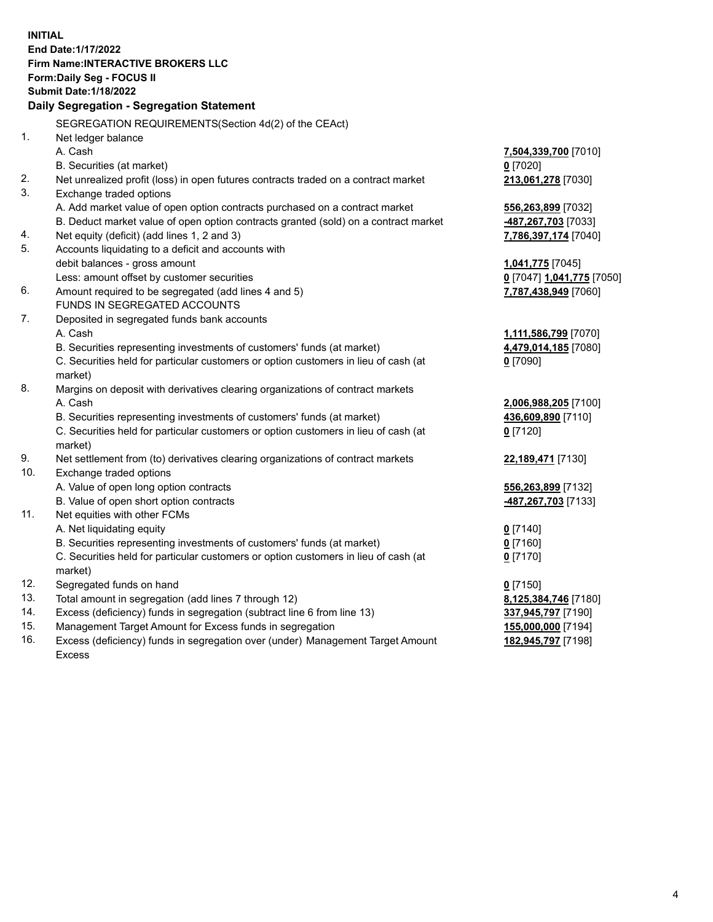**INITIAL End Date:1/17/2022 Firm Name:INTERACTIVE BROKERS LLC Form:Daily Seg - FOCUS II Submit Date:1/18/2022 Daily Segregation - Segregation Statement** SEGREGATION REQUIREMENTS(Section 4d(2) of the CEAct) 1. Net ledger balance A. Cash **7,504,339,700** [7010] B. Securities (at market) **0** [7020] 2. Net unrealized profit (loss) in open futures contracts traded on a contract market **213,061,278** [7030] 3. Exchange traded options A. Add market value of open option contracts purchased on a contract market **556,263,899** [7032] B. Deduct market value of open option contracts granted (sold) on a contract market **-487,267,703** [7033] 4. Net equity (deficit) (add lines 1, 2 and 3) **7,786,397,174** [7040] 5. Accounts liquidating to a deficit and accounts with debit balances - gross amount **1,041,775** [7045] Less: amount offset by customer securities **0** [7047] **1,041,775** [7050] 6. Amount required to be segregated (add lines 4 and 5) **7,787,438,949** [7060] FUNDS IN SEGREGATED ACCOUNTS 7. Deposited in segregated funds bank accounts A. Cash **1,111,586,799** [7070] B. Securities representing investments of customers' funds (at market) **4,479,014,185** [7080] C. Securities held for particular customers or option customers in lieu of cash (at market) **0** [7090] 8. Margins on deposit with derivatives clearing organizations of contract markets A. Cash **2,006,988,205** [7100] B. Securities representing investments of customers' funds (at market) **436,609,890** [7110] C. Securities held for particular customers or option customers in lieu of cash (at market) **0** [7120] 9. Net settlement from (to) derivatives clearing organizations of contract markets **22,189,471** [7130] 10. Exchange traded options A. Value of open long option contracts **556,263,899** [7132] B. Value of open short option contracts **-487,267,703** [7133] 11. Net equities with other FCMs A. Net liquidating equity **0** [7140] B. Securities representing investments of customers' funds (at market) **0** [7160] C. Securities held for particular customers or option customers in lieu of cash (at market) **0** [7170] 12. Segregated funds on hand **0** [7150] 13. Total amount in segregation (add lines 7 through 12) **8,125,384,746** [7180] 14. Excess (deficiency) funds in segregation (subtract line 6 from line 13) **337,945,797** [7190] 15. Management Target Amount for Excess funds in segregation **155,000,000** [7194] 16. Excess (deficiency) funds in segregation over (under) Management Target Amount Excess **182,945,797** [7198]